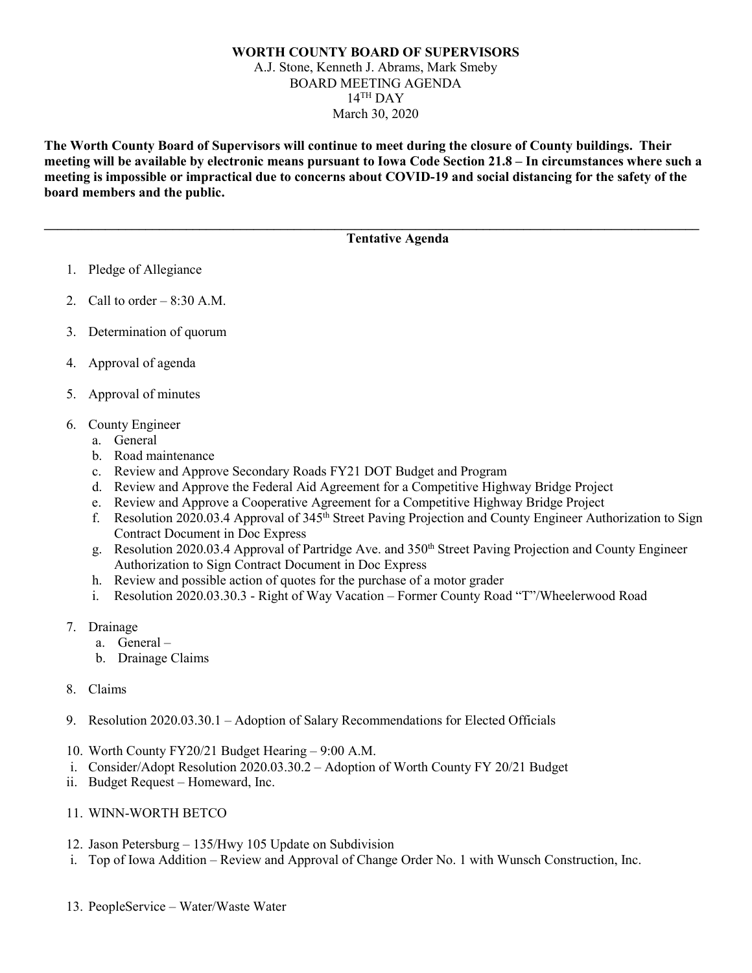## **WORTH COUNTY BOARD OF SUPERVISORS** A.J. Stone, Kenneth J. Abrams, Mark Smeby BOARD MEETING AGENDA  $14$ <sup>TH</sup> DAY March 30, 2020

**The Worth County Board of Supervisors will continue to meet during the closure of County buildings. Their meeting will be available by electronic means pursuant to Iowa Code Section 21.8 – In circumstances where such a meeting is impossible or impractical due to concerns about COVID-19 and social distancing for the safety of the board members and the public.** 

**\_\_\_\_\_\_\_\_\_\_\_\_\_\_\_\_\_\_\_\_\_\_\_\_\_\_\_\_\_\_\_\_\_\_\_\_\_\_\_\_\_\_\_\_\_\_\_\_\_\_\_\_\_\_\_\_\_\_\_\_\_\_\_\_\_\_\_\_\_\_\_\_\_\_\_\_\_\_\_\_\_\_\_\_\_\_\_\_\_\_\_\_\_\_\_\_\_**

## **Tentative Agenda**

- 1. Pledge of Allegiance
- 2. Call to order  $-8:30$  A.M.
- 3. Determination of quorum
- 4. Approval of agenda
- 5. Approval of minutes
- 6. County Engineer
	- a. General
	- b. Road maintenance
	- c. Review and Approve Secondary Roads FY21 DOT Budget and Program
	- d. Review and Approve the Federal Aid Agreement for a Competitive Highway Bridge Project
	- e. Review and Approve a Cooperative Agreement for a Competitive Highway Bridge Project
	- f. Resolution 2020.03.4 Approval of 345<sup>th</sup> Street Paving Projection and County Engineer Authorization to Sign Contract Document in Doc Express
	- g. Resolution 2020.03.4 Approval of Partridge Ave. and 350<sup>th</sup> Street Paving Projection and County Engineer Authorization to Sign Contract Document in Doc Express
	- h. Review and possible action of quotes for the purchase of a motor grader
	- i. Resolution 2020.03.30.3 Right of Way Vacation Former County Road "T"/Wheelerwood Road
- 7. Drainage
	- a. General –
	- b. Drainage Claims
- 8. Claims
- 9. Resolution 2020.03.30.1 Adoption of Salary Recommendations for Elected Officials
- 10. Worth County FY20/21 Budget Hearing 9:00 A.M.
- i. Consider/Adopt Resolution 2020.03.30.2 Adoption of Worth County FY 20/21 Budget
- ii. Budget Request Homeward, Inc.
- 11. WINN-WORTH BETCO
- 12. Jason Petersburg 135/Hwy 105 Update on Subdivision
- i. Top of Iowa Addition Review and Approval of Change Order No. 1 with Wunsch Construction, Inc.
- 13. PeopleService Water/Waste Water